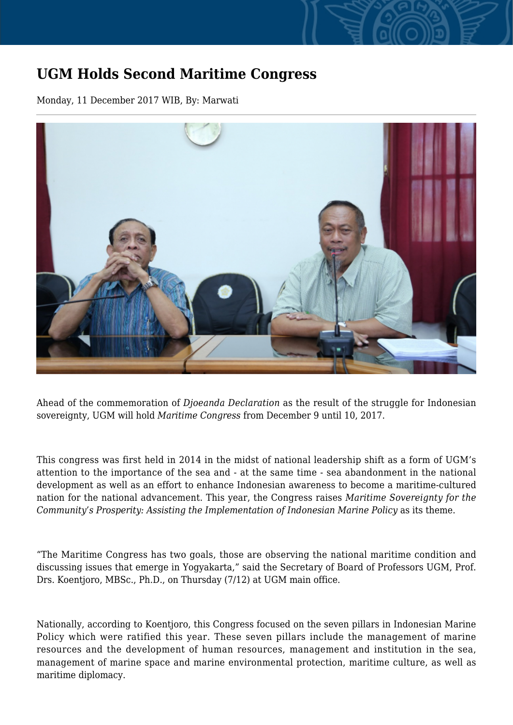## **UGM Holds Second Maritime Congress**

Monday, 11 December 2017 WIB, By: Marwati



Ahead of the commemoration of *Dioeanda Declaration* as the result of the struggle for Indonesian sovereignty, UGM will hold *Maritime Congress* from December 9 until 10, 2017.

This congress was first held in 2014 in the midst of national leadership shift as a form of UGM's attention to the importance of the sea and - at the same time - sea abandonment in the national development as well as an effort to enhance Indonesian awareness to become a maritime-cultured nation for the national advancement. This year, the Congress raises *Maritime Sovereignty for the Community's Prosperity: Assisting the Implementation of Indonesian Marine Policy* as its theme.

"The Maritime Congress has two goals, those are observing the national maritime condition and discussing issues that emerge in Yogyakarta," said the Secretary of Board of Professors UGM, Prof. Drs. Koentjoro, MBSc., Ph.D., on Thursday (7/12) at UGM main office.

Nationally, according to Koentjoro, this Congress focused on the seven pillars in Indonesian Marine Policy which were ratified this year. These seven pillars include the management of marine resources and the development of human resources, management and institution in the sea, management of marine space and marine environmental protection, maritime culture, as well as maritime diplomacy.